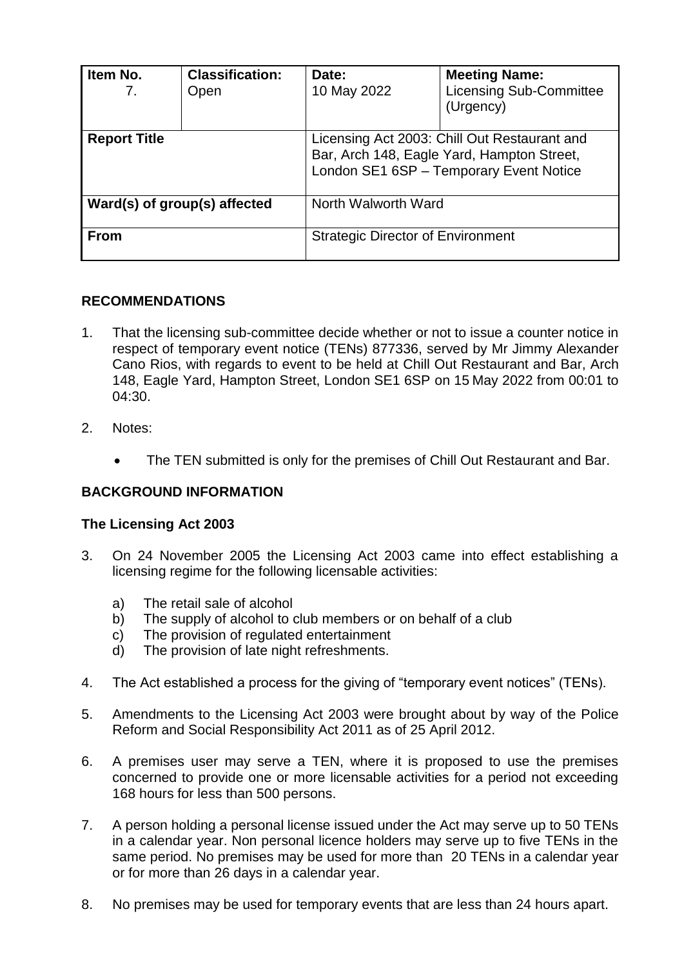| Item No.<br>7.               | <b>Classification:</b><br>Open | Date:<br>10 May 2022                                                                                                                  | <b>Meeting Name:</b><br><b>Licensing Sub-Committee</b><br>(Urgency) |
|------------------------------|--------------------------------|---------------------------------------------------------------------------------------------------------------------------------------|---------------------------------------------------------------------|
| <b>Report Title</b>          |                                | Licensing Act 2003: Chill Out Restaurant and<br>Bar, Arch 148, Eagle Yard, Hampton Street,<br>London SE1 6SP - Temporary Event Notice |                                                                     |
| Ward(s) of group(s) affected |                                | North Walworth Ward                                                                                                                   |                                                                     |
| <b>From</b>                  |                                | <b>Strategic Director of Environment</b>                                                                                              |                                                                     |

## **RECOMMENDATIONS**

- 1. That the licensing sub-committee decide whether or not to issue a counter notice in respect of temporary event notice (TENs) 877336, served by Mr Jimmy Alexander Cano Rios, with regards to event to be held at Chill Out Restaurant and Bar, Arch 148, Eagle Yard, Hampton Street, London SE1 6SP on 15 May 2022 from 00:01 to 04:30.
- 2. Notes:
	- The TEN submitted is only for the premises of Chill Out Restaurant and Bar.

## **BACKGROUND INFORMATION**

### **The Licensing Act 2003**

- 3. On 24 November 2005 the Licensing Act 2003 came into effect establishing a licensing regime for the following licensable activities:
	- a) The retail sale of alcohol
	- b) The supply of alcohol to club members or on behalf of a club
	- c) The provision of regulated entertainment
	- d) The provision of late night refreshments.
- 4. The Act established a process for the giving of "temporary event notices" (TENs).
- 5. Amendments to the Licensing Act 2003 were brought about by way of the Police Reform and Social Responsibility Act 2011 as of 25 April 2012.
- 6. A premises user may serve a TEN, where it is proposed to use the premises concerned to provide one or more licensable activities for a period not exceeding 168 hours for less than 500 persons.
- 7. A person holding a personal license issued under the Act may serve up to 50 TENs in a calendar year. Non personal licence holders may serve up to five TENs in the same period. No premises may be used for more than 20 TENs in a calendar year or for more than 26 days in a calendar year.
- 8. No premises may be used for temporary events that are less than 24 hours apart.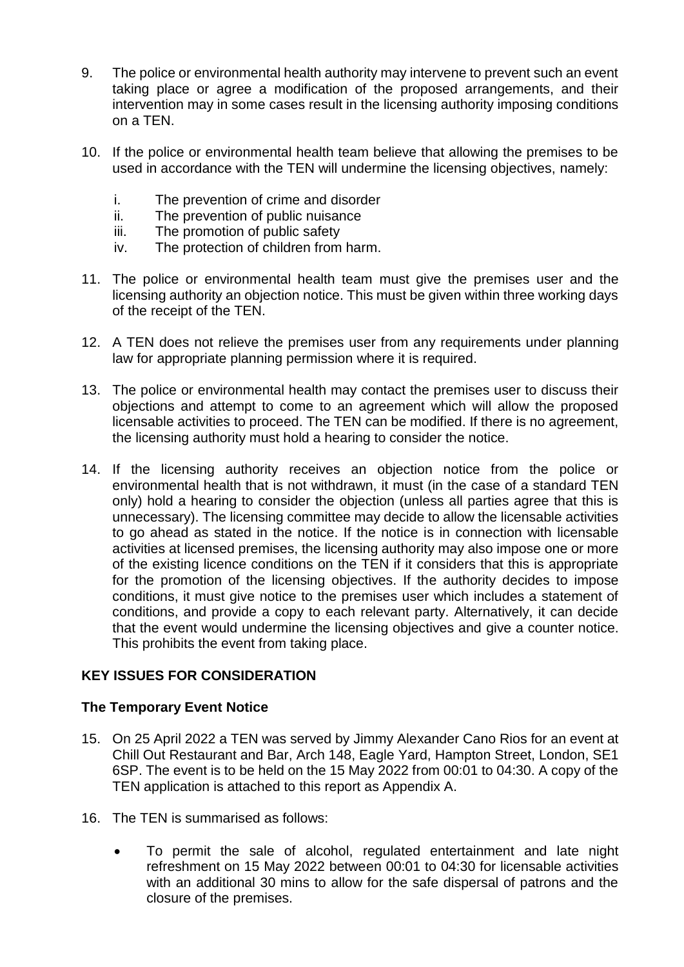- 9. The police or environmental health authority may intervene to prevent such an event taking place or agree a modification of the proposed arrangements, and their intervention may in some cases result in the licensing authority imposing conditions on a TEN.
- 10. If the police or environmental health team believe that allowing the premises to be used in accordance with the TEN will undermine the licensing objectives, namely:
	- i. The prevention of crime and disorder
	- ii. The prevention of public nuisance
	- iii. The promotion of public safety
	- iv. The protection of children from harm.
- 11. The police or environmental health team must give the premises user and the licensing authority an objection notice. This must be given within three working days of the receipt of the TEN.
- 12. A TEN does not relieve the premises user from any requirements under planning law for appropriate planning permission where it is required.
- 13. The police or environmental health may contact the premises user to discuss their objections and attempt to come to an agreement which will allow the proposed licensable activities to proceed. The TEN can be modified. If there is no agreement, the licensing authority must hold a hearing to consider the notice.
- 14. If the licensing authority receives an objection notice from the police or environmental health that is not withdrawn, it must (in the case of a standard TEN only) hold a hearing to consider the objection (unless all parties agree that this is unnecessary). The licensing committee may decide to allow the licensable activities to go ahead as stated in the notice. If the notice is in connection with licensable activities at licensed premises, the licensing authority may also impose one or more of the existing licence conditions on the TEN if it considers that this is appropriate for the promotion of the licensing objectives. If the authority decides to impose conditions, it must give notice to the premises user which includes a statement of conditions, and provide a copy to each relevant party. Alternatively, it can decide that the event would undermine the licensing objectives and give a counter notice. This prohibits the event from taking place.

### **KEY ISSUES FOR CONSIDERATION**

### **The Temporary Event Notice**

- 15. On 25 April 2022 a TEN was served by Jimmy Alexander Cano Rios for an event at Chill Out Restaurant and Bar, Arch 148, Eagle Yard, Hampton Street, London, SE1 6SP. The event is to be held on the 15 May 2022 from 00:01 to 04:30. A copy of the TEN application is attached to this report as Appendix A.
- 16. The TEN is summarised as follows:
	- To permit the sale of alcohol, regulated entertainment and late night refreshment on 15 May 2022 between 00:01 to 04:30 for licensable activities with an additional 30 mins to allow for the safe dispersal of patrons and the closure of the premises.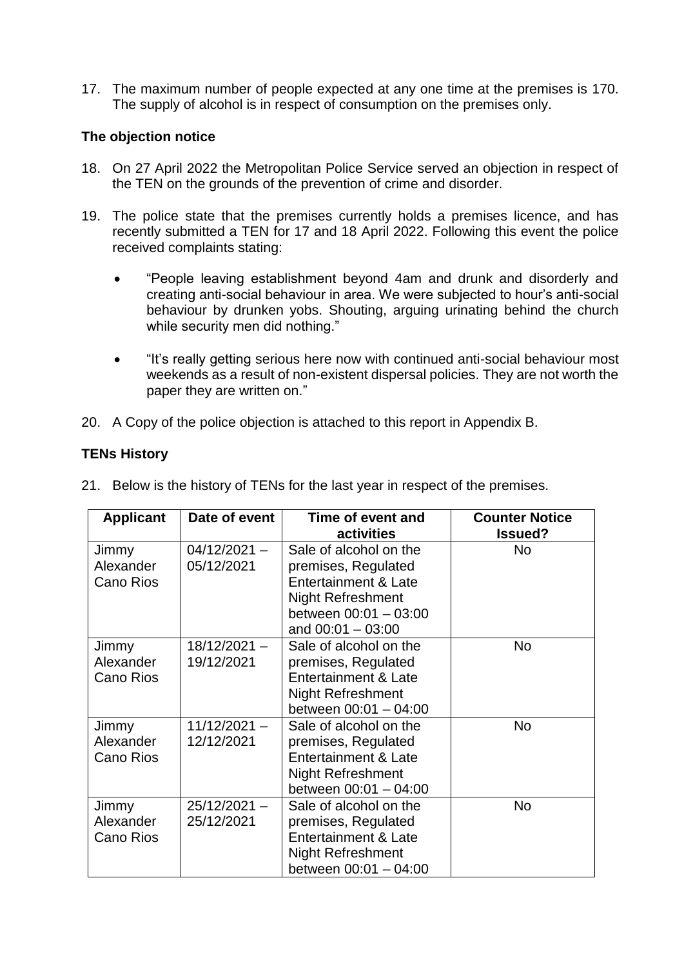17. The maximum number of people expected at any one time at the premises is 170. The supply of alcohol is in respect of consumption on the premises only.

## **The objection notice**

- 18. On 27 April 2022 the Metropolitan Police Service served an objection in respect of the TEN on the grounds of the prevention of crime and disorder.
- 19. The police state that the premises currently holds a premises licence, and has recently submitted a TEN for 17 and 18 April 2022. Following this event the police received complaints stating:
	- "People leaving establishment beyond 4am and drunk and disorderly and creating anti-social behaviour in area. We were subjected to hour's anti-social behaviour by drunken yobs. Shouting, arguing urinating behind the church while security men did nothing."
	- "It's really getting serious here now with continued anti-social behaviour most weekends as a result of non-existent dispersal policies. They are not worth the paper they are written on."
- 20. A Copy of the police objection is attached to this report in Appendix B.

## **TENs History**

| <b>Applicant</b> | Date of event  | Time of event and               | <b>Counter Notice</b> |
|------------------|----------------|---------------------------------|-----------------------|
|                  |                | activities                      | <b>Issued?</b>        |
| Jimmy            | $04/12/2021 -$ | Sale of alcohol on the          | No                    |
| Alexander        | 05/12/2021     | premises, Regulated             |                       |
| Cano Rios        |                | <b>Entertainment &amp; Late</b> |                       |
|                  |                | <b>Night Refreshment</b>        |                       |
|                  |                | between $00:01 - 03:00$         |                       |
|                  |                | and $00:01 - 03:00$             |                       |
| Jimmy            | $18/12/2021 -$ | Sale of alcohol on the          | <b>No</b>             |
| Alexander        | 19/12/2021     | premises, Regulated             |                       |
| Cano Rios        |                | <b>Entertainment &amp; Late</b> |                       |
|                  |                | <b>Night Refreshment</b>        |                       |
|                  |                | between $00:01 - 04:00$         |                       |
| Jimmy            | $11/12/2021 -$ | Sale of alcohol on the          | <b>No</b>             |
| Alexander        | 12/12/2021     | premises, Regulated             |                       |
| <b>Cano Rios</b> |                | <b>Entertainment &amp; Late</b> |                       |
|                  |                | <b>Night Refreshment</b>        |                       |
|                  |                | between 00:01 - 04:00           |                       |
| Jimmy            | $25/12/2021 -$ | Sale of alcohol on the          | <b>No</b>             |
| Alexander        | 25/12/2021     | premises, Regulated             |                       |
| <b>Cano Rios</b> |                | <b>Entertainment &amp; Late</b> |                       |
|                  |                | <b>Night Refreshment</b>        |                       |
|                  |                | between $00:01 - 04:00$         |                       |

21. Below is the history of TENs for the last year in respect of the premises.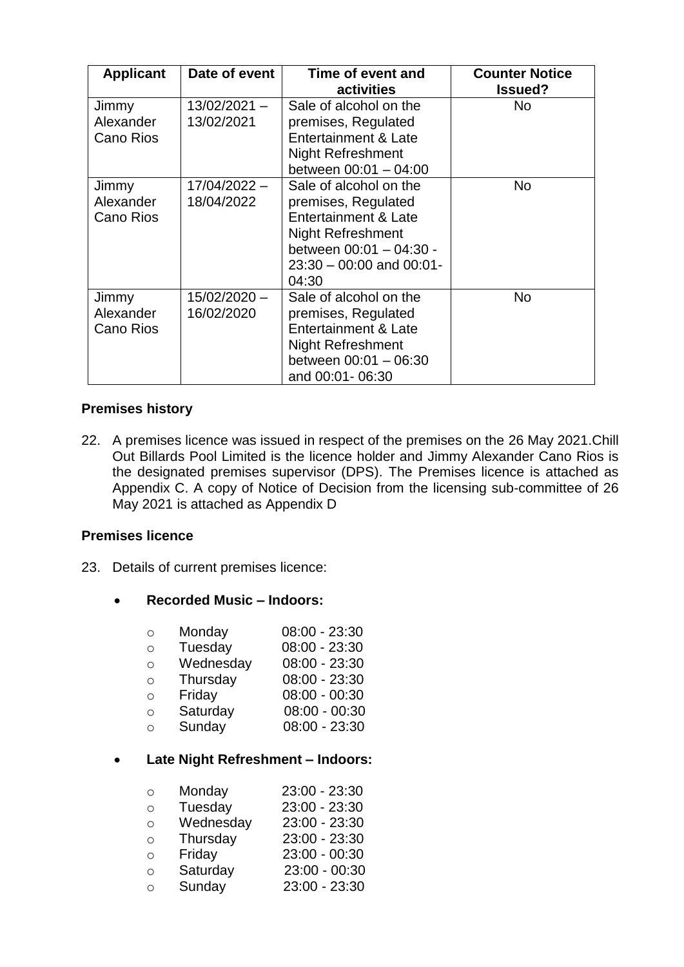| <b>Applicant</b>                | Date of event              | Time of event and<br>activities                                                                                                                                        | <b>Counter Notice</b><br><b>Issued?</b> |
|---------------------------------|----------------------------|------------------------------------------------------------------------------------------------------------------------------------------------------------------------|-----------------------------------------|
| Jimmy<br>Alexander<br>Cano Rios | 13/02/2021 -<br>13/02/2021 | Sale of alcohol on the<br>premises, Regulated<br>Entertainment & Late<br><b>Night Refreshment</b><br>between $00:01 - 04:00$                                           | <b>No</b>                               |
| Jimmy<br>Alexander<br>Cano Rios | 17/04/2022 -<br>18/04/2022 | Sale of alcohol on the<br>premises, Regulated<br>Entertainment & Late<br><b>Night Refreshment</b><br>between 00:01 - 04:30 -<br>$23:30 - 00:00$ and $00:01$ -<br>04:30 | No.                                     |
| Jimmy<br>Alexander<br>Cano Rios | 15/02/2020 -<br>16/02/2020 | Sale of alcohol on the<br>premises, Regulated<br><b>Entertainment &amp; Late</b><br><b>Night Refreshment</b><br>between $00:01 - 06:30$<br>and 00:01-06:30             | <b>No</b>                               |

### **Premises history**

22. A premises licence was issued in respect of the premises on the 26 May 2021.Chill Out Billards Pool Limited is the licence holder and Jimmy Alexander Cano Rios is the designated premises supervisor (DPS). The Premises licence is attached as Appendix C. A copy of Notice of Decision from the licensing sub-committee of 26 May 2021 is attached as Appendix D

### **Premises licence**

23. Details of current premises licence:

### **Recorded Music – Indoors:**

| $\circ$ | Monday | $08:00 - 23:30$ |
|---------|--------|-----------------|
|         |        |                 |

- o Tuesday 08:00 23:30
- o Wednesday 08:00 23:30
- o Thursday 08:00 23:30
- o Friday 08:00 00:30 o Saturday 08:00 - 00:30
- 
- o Sunday 08:00 23:30

## **Late Night Refreshment – Indoors:**

| $\circ$ | Monday    | 23:00 - 23:30 |
|---------|-----------|---------------|
| O       | Tuesday   | 23:00 - 23:30 |
| O       | Wednesday | 23:00 - 23:30 |
| O       | Thursday  | 23:00 - 23:30 |
| ∩       | Friday    | 23:00 - 00:30 |
| O       | Saturday  | 23:00 - 00:30 |
| O       | Sunday    | 23:00 - 23:30 |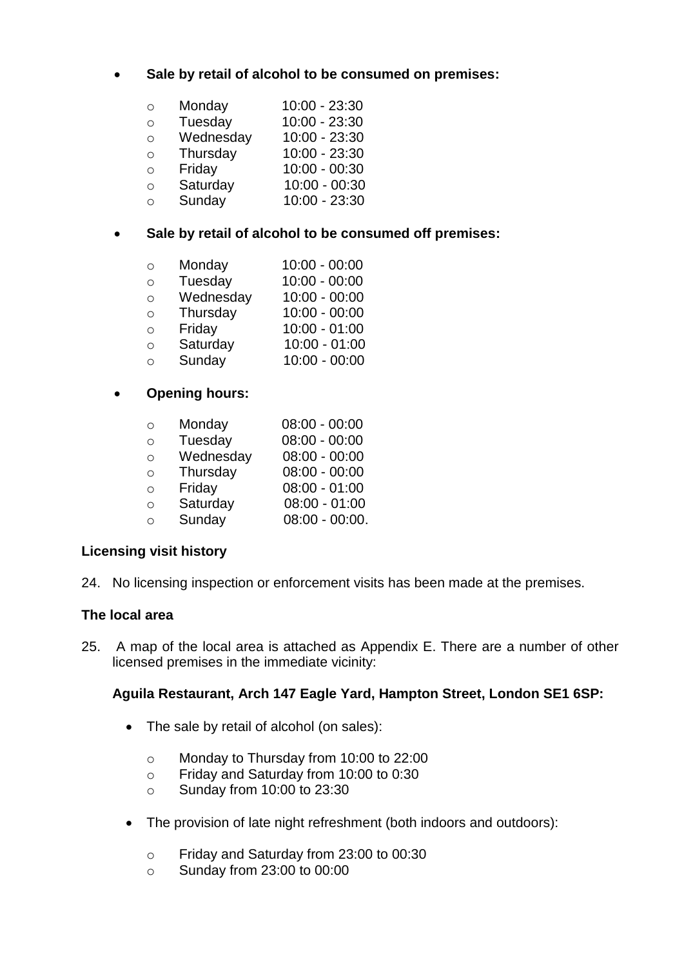## **Sale by retail of alcohol to be consumed on premises:**

| O | Monday    | 10:00 - 23:30   |
|---|-----------|-----------------|
| Ο | Tuesday   | 10:00 - 23:30   |
| O | Wednesday | 10:00 - 23:30   |
| O | Thursday  | 10:00 - 23:30   |
| Ο | Friday    | $10:00 - 00:30$ |
| O | Saturday  | $10:00 - 00:30$ |

o Sunday 10:00 - 23:30

## **Sale by retail of alcohol to be consumed off premises:**

| O       | Monday    | $10:00 - 00:00$ |
|---------|-----------|-----------------|
| O       | Tuesday   | $10:00 - 00:00$ |
| $\circ$ | Wednesday | $10:00 - 00:00$ |
| O       | Thursday  | $10:00 - 00:00$ |
| ∩       | Friday    | $10:00 - 01:00$ |
| O       | Saturday  | $10:00 - 01:00$ |
| O       | Sunday    | $10:00 - 00:00$ |

### **Opening hours:**

| $\circ$    | Monday    | $08:00 - 00:00$  |
|------------|-----------|------------------|
| $\circ$    | Tuesday   | $08:00 - 00:00$  |
| $\bigcirc$ | Wednesday | $08:00 - 00:00$  |
| ∩          | Thursday  | $08:00 - 00:00$  |
| ∩          | Friday    | $08:00 - 01:00$  |
| $\circ$    | Saturday  | $08:00 - 01:00$  |
| ∩          | Sunday    | $08:00 - 00:00.$ |
|            |           |                  |

### **Licensing visit history**

24. No licensing inspection or enforcement visits has been made at the premises.

### **The local area**

25. A map of the local area is attached as Appendix E. There are a number of other licensed premises in the immediate vicinity:

### **Aguila Restaurant, Arch 147 Eagle Yard, Hampton Street, London SE1 6SP:**

- The sale by retail of alcohol (on sales):
	- o Monday to Thursday from 10:00 to 22:00
	- o Friday and Saturday from 10:00 to 0:30
	- o Sunday from 10:00 to 23:30
- The provision of late night refreshment (both indoors and outdoors):
	- o Friday and Saturday from 23:00 to 00:30
	- o Sunday from 23:00 to 00:00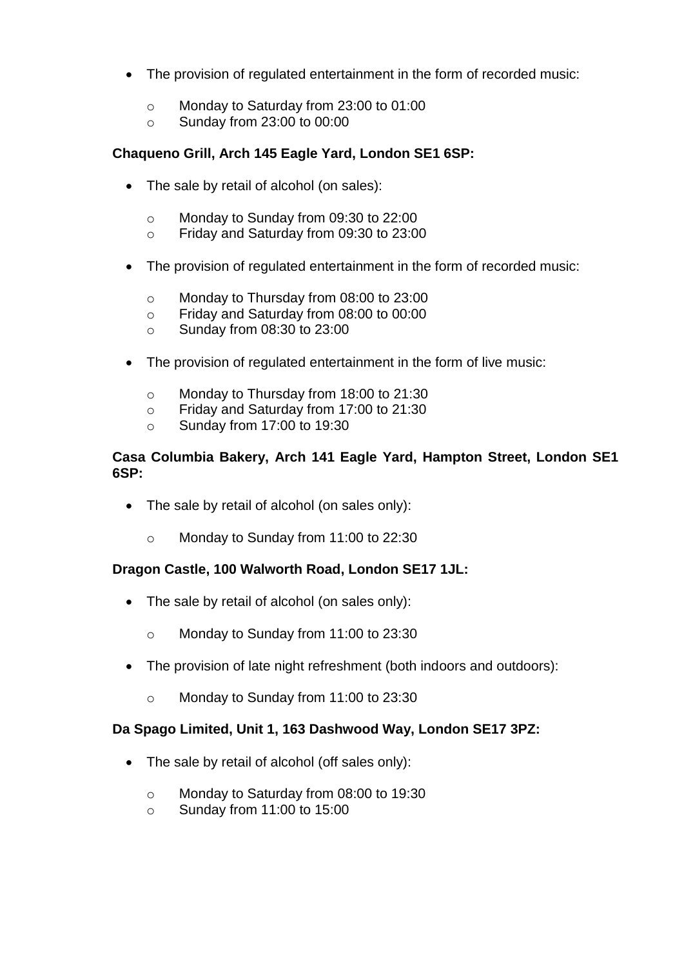- The provision of regulated entertainment in the form of recorded music:
	- o Monday to Saturday from 23:00 to 01:00
	- o Sunday from 23:00 to 00:00

## **Chaqueno Grill, Arch 145 Eagle Yard, London SE1 6SP:**

- The sale by retail of alcohol (on sales):
	- o Monday to Sunday from 09:30 to 22:00
	- o Friday and Saturday from 09:30 to 23:00
- The provision of regulated entertainment in the form of recorded music:
	- o Monday to Thursday from 08:00 to 23:00
	- o Friday and Saturday from 08:00 to 00:00
	- o Sunday from 08:30 to 23:00
- The provision of regulated entertainment in the form of live music:
	- o Monday to Thursday from 18:00 to 21:30
	- o Friday and Saturday from 17:00 to 21:30
	- o Sunday from 17:00 to 19:30

#### **Casa Columbia Bakery, Arch 141 Eagle Yard, Hampton Street, London SE1 6SP:**

- The sale by retail of alcohol (on sales only):
	- o Monday to Sunday from 11:00 to 22:30

### **Dragon Castle, 100 Walworth Road, London SE17 1JL:**

- The sale by retail of alcohol (on sales only):
	- o Monday to Sunday from 11:00 to 23:30
- The provision of late night refreshment (both indoors and outdoors):
	- o Monday to Sunday from 11:00 to 23:30

### **Da Spago Limited, Unit 1, 163 Dashwood Way, London SE17 3PZ:**

- The sale by retail of alcohol (off sales only):
	- o Monday to Saturday from 08:00 to 19:30
	- o Sunday from 11:00 to 15:00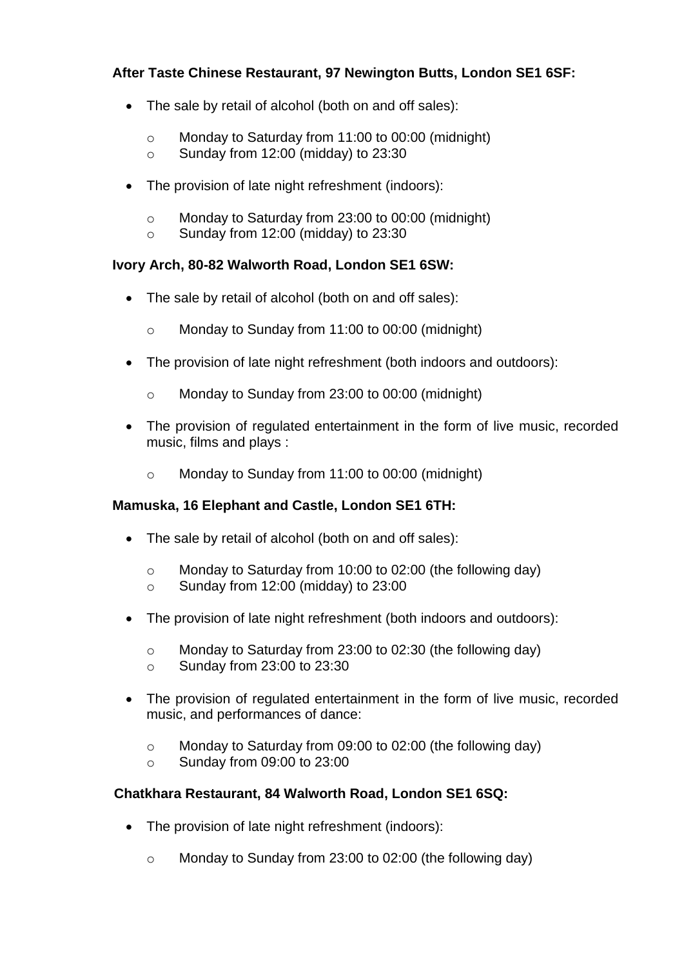## **After Taste Chinese Restaurant, 97 Newington Butts, London SE1 6SF:**

- The sale by retail of alcohol (both on and off sales):
	- o Monday to Saturday from 11:00 to 00:00 (midnight)
	- o Sunday from 12:00 (midday) to 23:30
- The provision of late night refreshment (indoors):
	- o Monday to Saturday from 23:00 to 00:00 (midnight)
	- o Sunday from 12:00 (midday) to 23:30

## **Ivory Arch, 80-82 Walworth Road, London SE1 6SW:**

- The sale by retail of alcohol (both on and off sales):
	- o Monday to Sunday from 11:00 to 00:00 (midnight)
- The provision of late night refreshment (both indoors and outdoors):
	- o Monday to Sunday from 23:00 to 00:00 (midnight)
- The provision of regulated entertainment in the form of live music, recorded music, films and plays :
	- o Monday to Sunday from 11:00 to 00:00 (midnight)

## **Mamuska, 16 Elephant and Castle, London SE1 6TH:**

- The sale by retail of alcohol (both on and off sales):
	- o Monday to Saturday from 10:00 to 02:00 (the following day)
	- o Sunday from 12:00 (midday) to 23:00
- The provision of late night refreshment (both indoors and outdoors):
	- o Monday to Saturday from 23:00 to 02:30 (the following day)
	- o Sunday from 23:00 to 23:30
- The provision of regulated entertainment in the form of live music, recorded music, and performances of dance:
	- o Monday to Saturday from 09:00 to 02:00 (the following day)
	- o Sunday from 09:00 to 23:00

## **Chatkhara Restaurant, 84 Walworth Road, London SE1 6SQ:**

- The provision of late night refreshment (indoors):
	- o Monday to Sunday from 23:00 to 02:00 (the following day)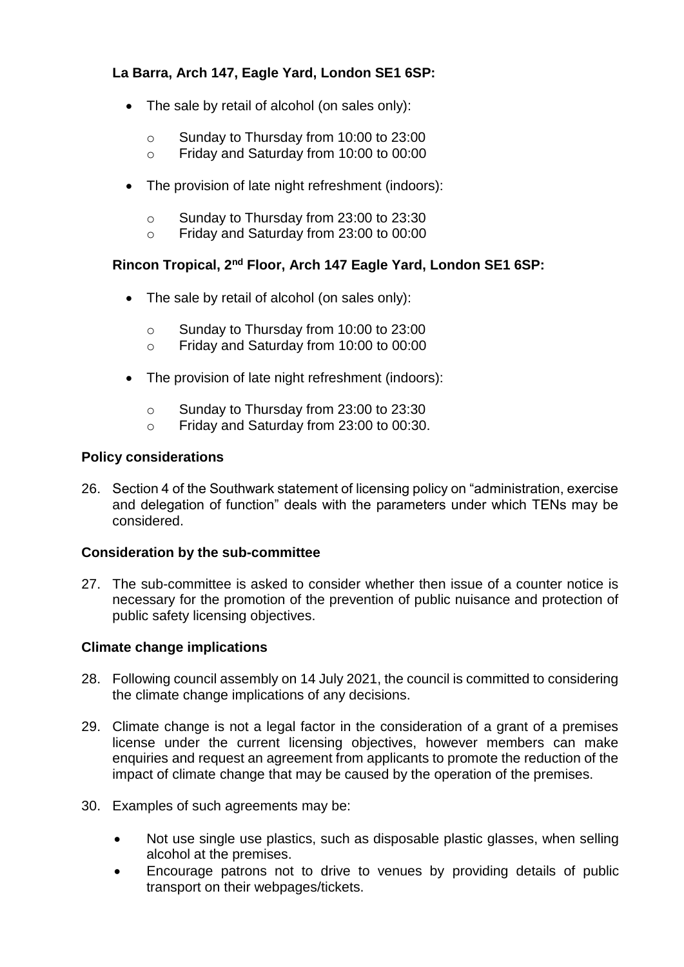## **La Barra, Arch 147, Eagle Yard, London SE1 6SP:**

- The sale by retail of alcohol (on sales only):
	- o Sunday to Thursday from 10:00 to 23:00
	- o Friday and Saturday from 10:00 to 00:00
- The provision of late night refreshment (indoors):
	- o Sunday to Thursday from 23:00 to 23:30
	- o Friday and Saturday from 23:00 to 00:00

## **Rincon Tropical, 2nd Floor, Arch 147 Eagle Yard, London SE1 6SP:**

- The sale by retail of alcohol (on sales only):
	- o Sunday to Thursday from 10:00 to 23:00
	- o Friday and Saturday from 10:00 to 00:00
- The provision of late night refreshment (indoors):
	- o Sunday to Thursday from 23:00 to 23:30
	- o Friday and Saturday from 23:00 to 00:30.

## **Policy considerations**

26. Section 4 of the Southwark statement of licensing policy on "administration, exercise and delegation of function" deals with the parameters under which TENs may be considered.

## **Consideration by the sub-committee**

27. The sub-committee is asked to consider whether then issue of a counter notice is necessary for the promotion of the prevention of public nuisance and protection of public safety licensing objectives.

## **Climate change implications**

- 28. Following council assembly on 14 July 2021, the council is committed to considering the climate change implications of any decisions.
- 29. Climate change is not a legal factor in the consideration of a grant of a premises license under the current licensing objectives, however members can make enquiries and request an agreement from applicants to promote the reduction of the impact of climate change that may be caused by the operation of the premises.
- 30. Examples of such agreements may be:
	- Not use single use plastics, such as disposable plastic glasses, when selling alcohol at the premises.
	- Encourage patrons not to drive to venues by providing details of public transport on their webpages/tickets.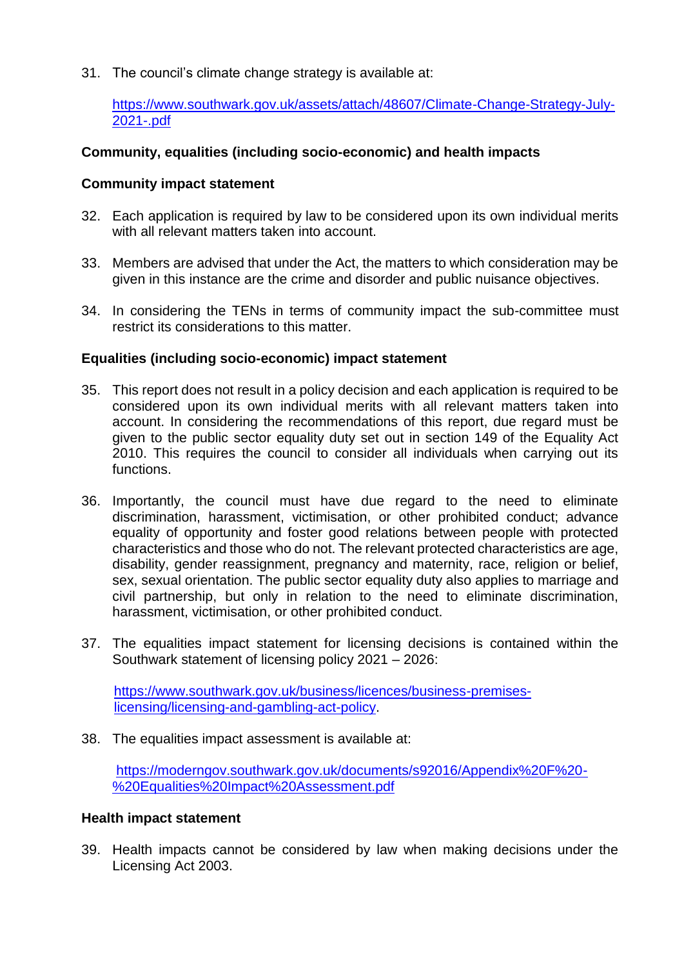31. The council's climate change strategy is available at:

[https://www.southwark.gov.uk/assets/attach/48607/Climate-Change-Strategy-July-](https://www.southwark.gov.uk/assets/attach/48607/Climate-Change-Strategy-July-2021-.pdf)[2021-.pdf](https://www.southwark.gov.uk/assets/attach/48607/Climate-Change-Strategy-July-2021-.pdf) 

### **Community, equalities (including socio-economic) and health impacts**

### **Community impact statement**

- 32. Each application is required by law to be considered upon its own individual merits with all relevant matters taken into account.
- 33. Members are advised that under the Act, the matters to which consideration may be given in this instance are the crime and disorder and public nuisance objectives.
- 34. In considering the TENs in terms of community impact the sub-committee must restrict its considerations to this matter.

### **Equalities (including socio-economic) impact statement**

- 35. This report does not result in a policy decision and each application is required to be considered upon its own individual merits with all relevant matters taken into account. In considering the recommendations of this report, due regard must be given to the public sector equality duty set out in section 149 of the Equality Act 2010. This requires the council to consider all individuals when carrying out its functions.
- 36. Importantly, the council must have due regard to the need to eliminate discrimination, harassment, victimisation, or other prohibited conduct; advance equality of opportunity and foster good relations between people with protected characteristics and those who do not. The relevant protected characteristics are age, disability, gender reassignment, pregnancy and maternity, race, religion or belief, sex, sexual orientation. The public sector equality duty also applies to marriage and civil partnership, but only in relation to the need to eliminate discrimination, harassment, victimisation, or other prohibited conduct.
- 37. The equalities impact statement for licensing decisions is contained within the Southwark statement of licensing policy 2021 – 2026:

[https://www.southwark.gov.uk/business/licences/business-premises](https://www.southwark.gov.uk/business/licences/business-premises-licensing/licensing-and-gambling-act-policy)[licensing/licensing-and-gambling-act-policy.](https://www.southwark.gov.uk/business/licences/business-premises-licensing/licensing-and-gambling-act-policy)

38. The equalities impact assessment is available at:

[https://moderngov.southwark.gov.uk/documents/s92016/Appendix%20F%20-](https://moderngov.southwark.gov.uk/documents/s92016/Appendix%20F%20-%20Equalities%20Impact%20Assessment.pdf) [%20Equalities%20Impact%20Assessment.pdf](https://moderngov.southwark.gov.uk/documents/s92016/Appendix%20F%20-%20Equalities%20Impact%20Assessment.pdf)

### **Health impact statement**

39. Health impacts cannot be considered by law when making decisions under the Licensing Act 2003.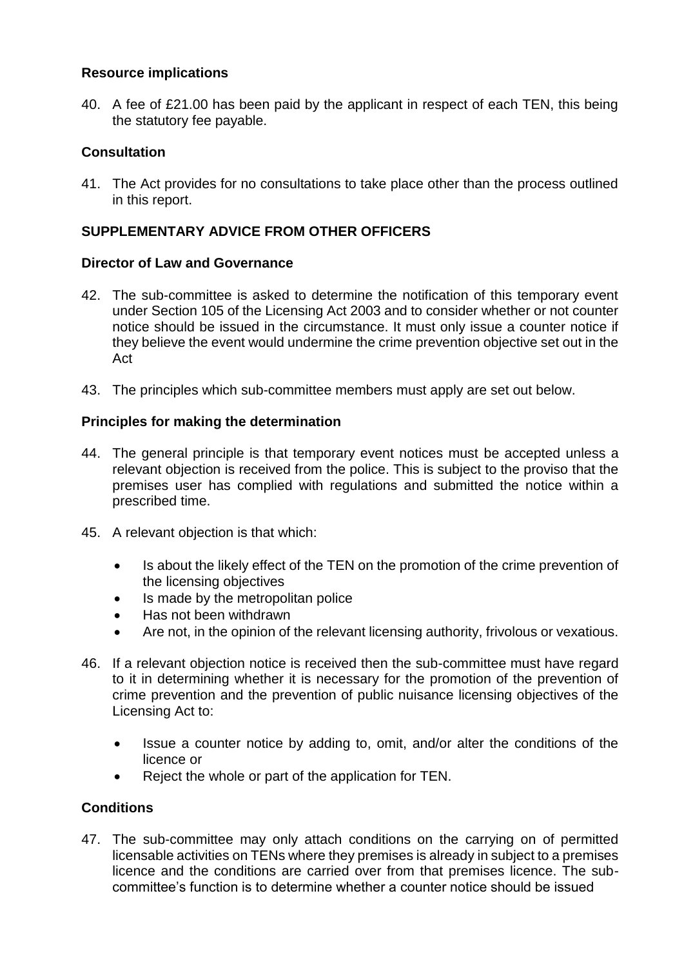## **Resource implications**

40. A fee of £21.00 has been paid by the applicant in respect of each TEN, this being the statutory fee payable.

## **Consultation**

41. The Act provides for no consultations to take place other than the process outlined in this report.

## **SUPPLEMENTARY ADVICE FROM OTHER OFFICERS**

## **Director of Law and Governance**

- 42. The sub-committee is asked to determine the notification of this temporary event under Section 105 of the Licensing Act 2003 and to consider whether or not counter notice should be issued in the circumstance. It must only issue a counter notice if they believe the event would undermine the crime prevention objective set out in the Act
- 43. The principles which sub-committee members must apply are set out below.

## **Principles for making the determination**

- 44. The general principle is that temporary event notices must be accepted unless a relevant objection is received from the police. This is subject to the proviso that the premises user has complied with regulations and submitted the notice within a prescribed time.
- 45. A relevant objection is that which:
	- Is about the likely effect of the TEN on the promotion of the crime prevention of the licensing objectives
	- Is made by the metropolitan police
	- Has not been withdrawn
	- Are not, in the opinion of the relevant licensing authority, frivolous or vexatious.
- 46. If a relevant objection notice is received then the sub-committee must have regard to it in determining whether it is necessary for the promotion of the prevention of crime prevention and the prevention of public nuisance licensing objectives of the Licensing Act to:
	- Issue a counter notice by adding to, omit, and/or alter the conditions of the licence or
	- Reject the whole or part of the application for TEN.

### **Conditions**

47. The sub-committee may only attach conditions on the carrying on of permitted licensable activities on TENs where they premises is already in subject to a premises licence and the conditions are carried over from that premises licence. The subcommittee's function is to determine whether a counter notice should be issued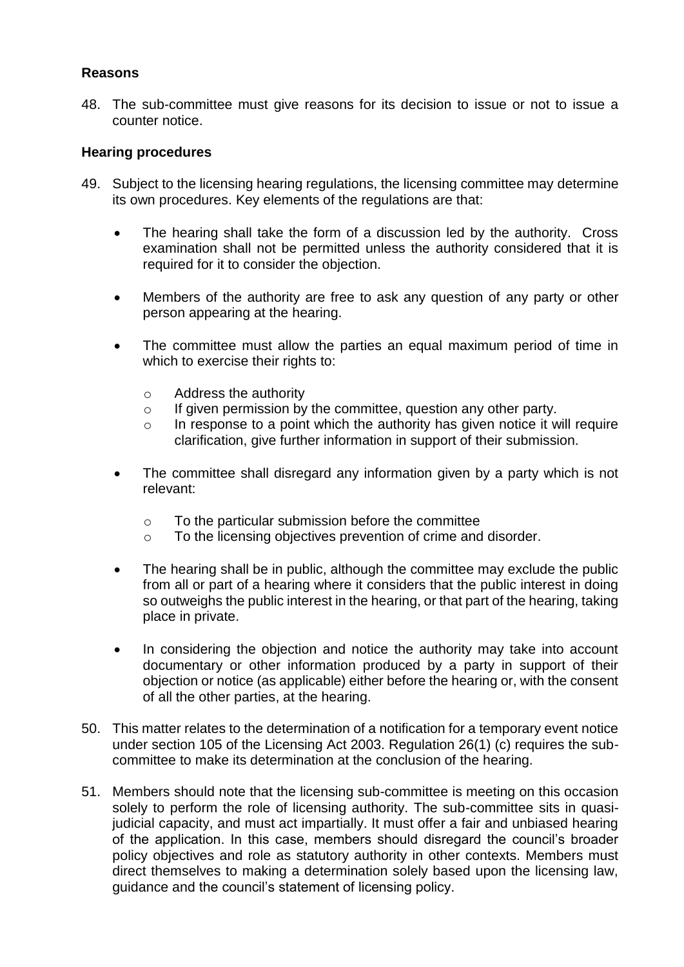## **Reasons**

48. The sub-committee must give reasons for its decision to issue or not to issue a counter notice.

### **Hearing procedures**

- 49. Subject to the licensing hearing regulations, the licensing committee may determine its own procedures. Key elements of the regulations are that:
	- The hearing shall take the form of a discussion led by the authority. Cross examination shall not be permitted unless the authority considered that it is required for it to consider the objection.
	- Members of the authority are free to ask any question of any party or other person appearing at the hearing.
	- The committee must allow the parties an equal maximum period of time in which to exercise their rights to:
		- o Address the authority
		- $\circ$  If given permission by the committee, question any other party.
		- o In response to a point which the authority has given notice it will require clarification, give further information in support of their submission.
	- The committee shall disregard any information given by a party which is not relevant:
		- o To the particular submission before the committee
		- o To the licensing objectives prevention of crime and disorder.
	- The hearing shall be in public, although the committee may exclude the public from all or part of a hearing where it considers that the public interest in doing so outweighs the public interest in the hearing, or that part of the hearing, taking place in private.
	- In considering the objection and notice the authority may take into account documentary or other information produced by a party in support of their objection or notice (as applicable) either before the hearing or, with the consent of all the other parties, at the hearing.
- 50. This matter relates to the determination of a notification for a temporary event notice under section 105 of the Licensing Act 2003. Regulation 26(1) (c) requires the subcommittee to make its determination at the conclusion of the hearing.
- 51. Members should note that the licensing sub-committee is meeting on this occasion solely to perform the role of licensing authority. The sub-committee sits in quasijudicial capacity, and must act impartially. It must offer a fair and unbiased hearing of the application. In this case, members should disregard the council's broader policy objectives and role as statutory authority in other contexts. Members must direct themselves to making a determination solely based upon the licensing law, guidance and the council's statement of licensing policy.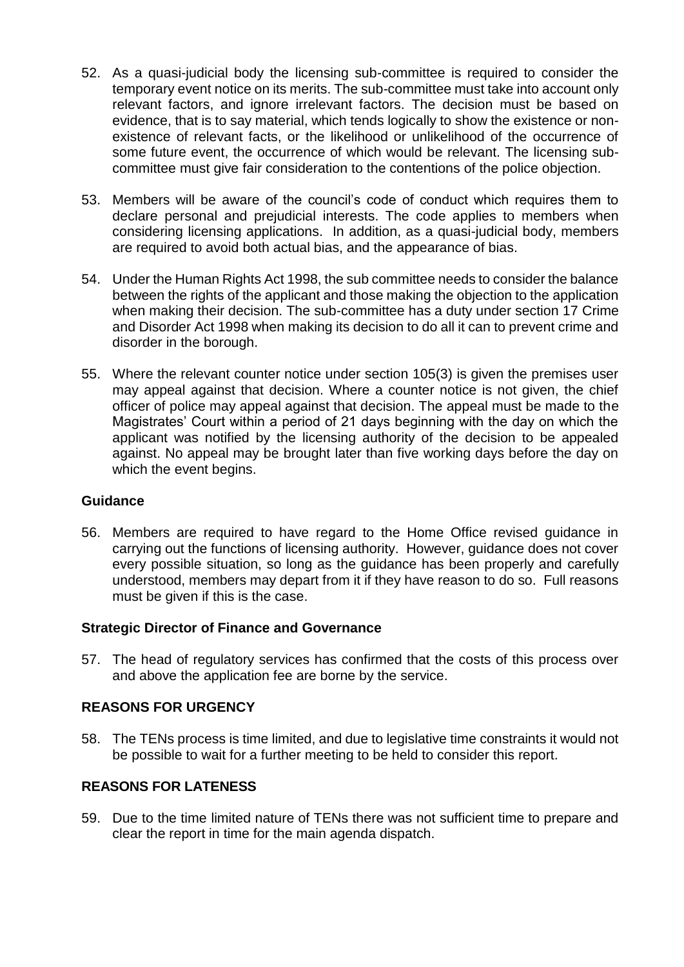- 52. As a quasi-judicial body the licensing sub-committee is required to consider the temporary event notice on its merits. The sub-committee must take into account only relevant factors, and ignore irrelevant factors. The decision must be based on evidence, that is to say material, which tends logically to show the existence or nonexistence of relevant facts, or the likelihood or unlikelihood of the occurrence of some future event, the occurrence of which would be relevant. The licensing subcommittee must give fair consideration to the contentions of the police objection.
- 53. Members will be aware of the council's code of conduct which requires them to declare personal and prejudicial interests. The code applies to members when considering licensing applications. In addition, as a quasi-judicial body, members are required to avoid both actual bias, and the appearance of bias.
- 54. Under the Human Rights Act 1998, the sub committee needs to consider the balance between the rights of the applicant and those making the objection to the application when making their decision. The sub-committee has a duty under section 17 Crime and Disorder Act 1998 when making its decision to do all it can to prevent crime and disorder in the borough.
- 55. Where the relevant counter notice under section 105(3) is given the premises user may appeal against that decision. Where a counter notice is not given, the chief officer of police may appeal against that decision. The appeal must be made to the Magistrates' Court within a period of 21 days beginning with the day on which the applicant was notified by the licensing authority of the decision to be appealed against. No appeal may be brought later than five working days before the day on which the event begins.

### **Guidance**

56. Members are required to have regard to the Home Office revised guidance in carrying out the functions of licensing authority. However, guidance does not cover every possible situation, so long as the guidance has been properly and carefully understood, members may depart from it if they have reason to do so. Full reasons must be given if this is the case.

## **Strategic Director of Finance and Governance**

57. The head of regulatory services has confirmed that the costs of this process over and above the application fee are borne by the service.

## **REASONS FOR URGENCY**

58. The TENs process is time limited, and due to legislative time constraints it would not be possible to wait for a further meeting to be held to consider this report.

## **REASONS FOR LATENESS**

59. Due to the time limited nature of TENs there was not sufficient time to prepare and clear the report in time for the main agenda dispatch.